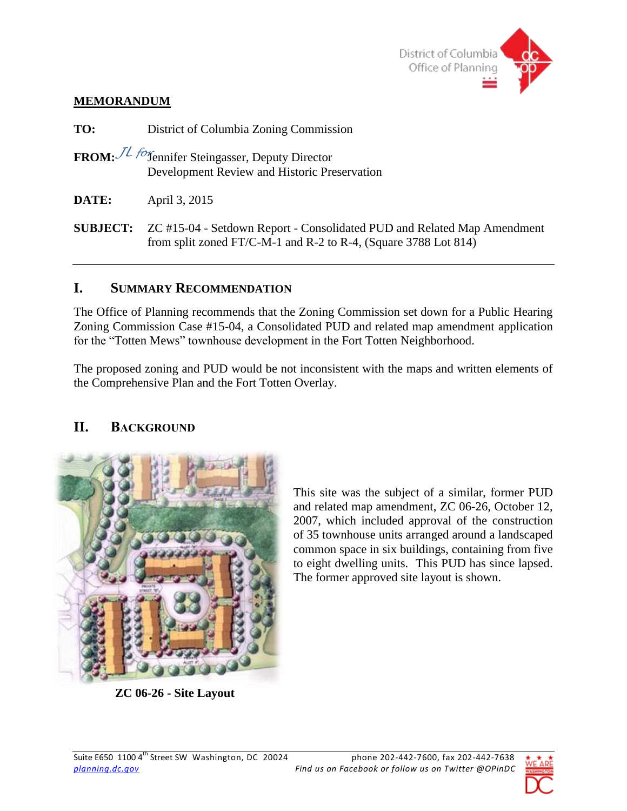

### **MEMORANDUM**

**TO:** District of Columbia Zoning Commission **FROM:**  $\mathcal{J}L$  *for*<sub>fennifer Steingasser, Deputy Director</sub> Development Review and Historic Preservation **DATE:** April 3, 2015 **SUBJECT:** ZC #15-04 - Setdown Report - Consolidated PUD and Related Map Amendment from split zoned FT/C-M-1 and R-2 to R-4, (Square 3788 Lot 814)

# **I. SUMMARY RECOMMENDATION**

The Office of Planning recommends that the Zoning Commission set down for a Public Hearing Zoning Commission Case #15-04, a Consolidated PUD and related map amendment application for the "Totten Mews" townhouse development in the Fort Totten Neighborhood.

The proposed zoning and PUD would be not inconsistent with the maps and written elements of the Comprehensive Plan and the Fort Totten Overlay.

# **II. BACKGROUND**



**ZC 06-26 - Site Layout**

This site was the subject of a similar, former PUD and related map amendment, ZC 06-26, October 12, 2007, which included approval of the construction of 35 townhouse units arranged around a landscaped common space in six buildings, containing from five to eight dwelling units. This PUD has since lapsed. The former approved site layout is shown.

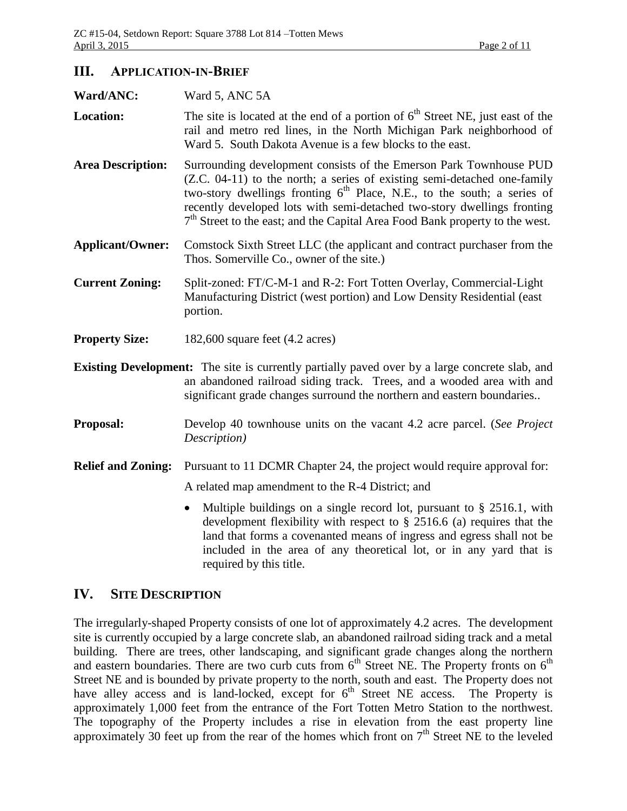### **III. APPLICATION-IN-BRIEF**

| Ward/ANC:                 | Ward 5, ANC 5A                                                                                                                                                                                                                                                                                                                                                                                     |  |  |  |  |  |
|---------------------------|----------------------------------------------------------------------------------------------------------------------------------------------------------------------------------------------------------------------------------------------------------------------------------------------------------------------------------------------------------------------------------------------------|--|--|--|--|--|
| <b>Location:</b>          | The site is located at the end of a portion of $6th$ Street NE, just east of the<br>rail and metro red lines, in the North Michigan Park neighborhood of<br>Ward 5. South Dakota Avenue is a few blocks to the east.                                                                                                                                                                               |  |  |  |  |  |
| <b>Area Description:</b>  | Surrounding development consists of the Emerson Park Townhouse PUD<br>(Z.C. 04-11) to the north; a series of existing semi-detached one-family<br>two-story dwellings fronting $6th$ Place, N.E., to the south; a series of<br>recently developed lots with semi-detached two-story dwellings fronting<br>7 <sup>th</sup> Street to the east; and the Capital Area Food Bank property to the west. |  |  |  |  |  |
| <b>Applicant/Owner:</b>   | Comstock Sixth Street LLC (the applicant and contract purchaser from the<br>Thos. Somerville Co., owner of the site.)                                                                                                                                                                                                                                                                              |  |  |  |  |  |
| <b>Current Zoning:</b>    | Split-zoned: FT/C-M-1 and R-2: Fort Totten Overlay, Commercial-Light<br>Manufacturing District (west portion) and Low Density Residential (east<br>portion.                                                                                                                                                                                                                                        |  |  |  |  |  |
| <b>Property Size:</b>     | 182,600 square feet $(4.2 \text{ acres})$                                                                                                                                                                                                                                                                                                                                                          |  |  |  |  |  |
|                           | <b>Existing Development:</b> The site is currently partially paved over by a large concrete slab, and<br>an abandoned railroad siding track. Trees, and a wooded area with and<br>significant grade changes surround the northern and eastern boundaries                                                                                                                                           |  |  |  |  |  |
| Proposal:                 | Develop 40 townhouse units on the vacant 4.2 acre parcel. (See Project<br>Description)                                                                                                                                                                                                                                                                                                             |  |  |  |  |  |
| <b>Relief and Zoning:</b> | Pursuant to 11 DCMR Chapter 24, the project would require approval for:                                                                                                                                                                                                                                                                                                                            |  |  |  |  |  |
|                           | A related map amendment to the R-4 District; and                                                                                                                                                                                                                                                                                                                                                   |  |  |  |  |  |
|                           | Multiple buildings on a single record lot, pursuant to $\S$ 2516.1, with<br>development flexibility with respect to $\S$ 2516.6 (a) requires that the<br>land that forms a covenanted means of ingress and egress shall not be<br>included in the area of any theoretical lot, or in any yard that is<br>required by this title.                                                                   |  |  |  |  |  |

### **IV. SITE DESCRIPTION**

The irregularly-shaped Property consists of one lot of approximately 4.2 acres. The development site is currently occupied by a large concrete slab, an abandoned railroad siding track and a metal building. There are trees, other landscaping, and significant grade changes along the northern and eastern boundaries. There are two curb cuts from  $6<sup>th</sup>$  Street NE. The Property fronts on  $6<sup>th</sup>$ Street NE and is bounded by private property to the north, south and east. The Property does not have alley access and is land-locked, except for  $6<sup>th</sup>$  Street NE access. The Property is approximately 1,000 feet from the entrance of the Fort Totten Metro Station to the northwest. The topography of the Property includes a rise in elevation from the east property line approximately 30 feet up from the rear of the homes which front on  $7<sup>th</sup>$  Street NE to the leveled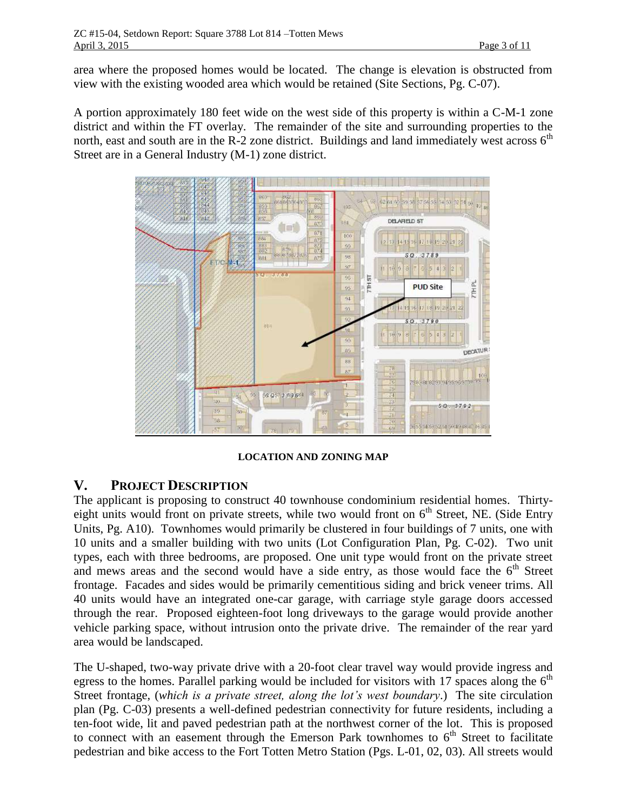area where the proposed homes would be located. The change is elevation is obstructed from view with the existing wooded area which would be retained (Site Sections, Pg. C-07).

A portion approximately 180 feet wide on the west side of this property is within a C-M-1 zone district and within the FT overlay. The remainder of the site and surrounding properties to the north, east and south are in the R-2 zone district. Buildings and land immediately west across  $6<sup>th</sup>$ Street are in a General Industry (M-1) zone district.



**LOCATION AND ZONING MAP**

# **V. PROJECT DESCRIPTION**

The applicant is proposing to construct 40 townhouse condominium residential homes. Thirtyeight units would front on private streets, while two would front on 6<sup>th</sup> Street, NE. (Side Entry Units, Pg. A10). Townhomes would primarily be clustered in four buildings of 7 units, one with 10 units and a smaller building with two units (Lot Configuration Plan, Pg. C-02). Two unit types, each with three bedrooms, are proposed. One unit type would front on the private street and mews areas and the second would have a side entry, as those would face the  $6<sup>th</sup>$  Street frontage. Facades and sides would be primarily cementitious siding and brick veneer trims. All 40 units would have an integrated one-car garage, with carriage style garage doors accessed through the rear. Proposed eighteen-foot long driveways to the garage would provide another vehicle parking space, without intrusion onto the private drive. The remainder of the rear yard area would be landscaped.

The U-shaped, two-way private drive with a 20-foot clear travel way would provide ingress and egress to the homes. Parallel parking would be included for visitors with 17 spaces along the  $6<sup>th</sup>$ Street frontage, (*which is a private street, along the lot's west boundary*.) The site circulation plan (Pg. C-03) presents a well-defined pedestrian connectivity for future residents, including a ten-foot wide, lit and paved pedestrian path at the northwest corner of the lot. This is proposed to connect with an easement through the Emerson Park townhomes to  $6<sup>th</sup>$  Street to facilitate pedestrian and bike access to the Fort Totten Metro Station (Pgs. L-01, 02, 03). All streets would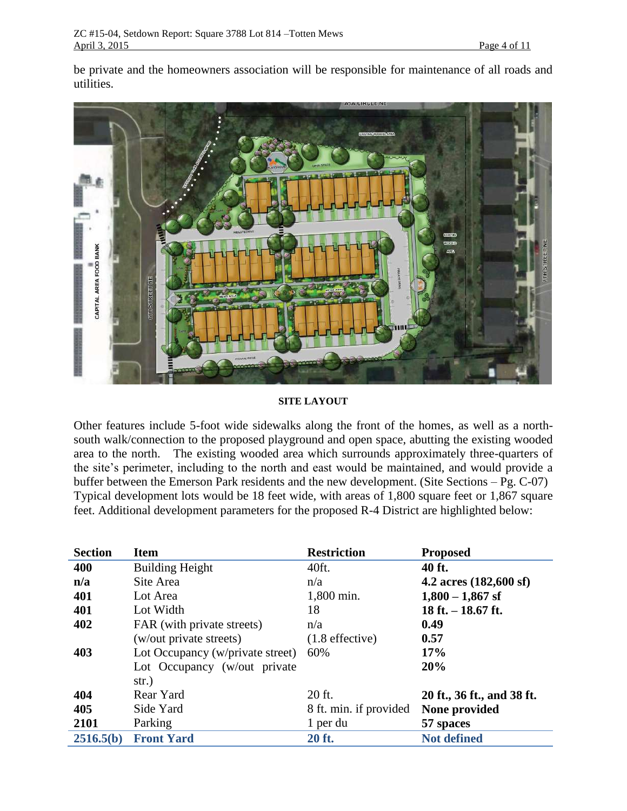be private and the homeowners association will be responsible for maintenance of all roads and utilities.



#### **SITE LAYOUT**

Other features include 5-foot wide sidewalks along the front of the homes, as well as a northsouth walk/connection to the proposed playground and open space, abutting the existing wooded area to the north. The existing wooded area which surrounds approximately three-quarters of the site's perimeter, including to the north and east would be maintained, and would provide a buffer between the Emerson Park residents and the new development. (Site Sections – Pg. C-07) Typical development lots would be 18 feet wide, with areas of 1,800 square feet or 1,867 square feet. Additional development parameters for the proposed R-4 District are highlighted below:

| <b>Section</b> | <b>Item</b>                      | <b>Restriction</b>     | <b>Proposed</b>                  |
|----------------|----------------------------------|------------------------|----------------------------------|
| 400            | <b>Building Height</b>           | 40ft.                  | 40 ft.                           |
| n/a            | Site Area                        | n/a                    | 4.2 acres $(182,600 \text{ sf})$ |
| 401            | Lot Area                         | 1,800 min.             | $1,800 - 1,867$ sf               |
| 401            | Lot Width                        | 18                     | 18 ft. $-$ 18.67 ft.             |
| 402            | FAR (with private streets)       | n/a                    | 0.49                             |
|                | (w/out private streets)          | $(1.8$ effective)      | 0.57                             |
| 403            | Lot Occupancy (w/private street) | 60%                    | 17%                              |
|                | Lot Occupancy (w/out private     |                        | 20%                              |
|                | str.)                            |                        |                                  |
| 404            | Rear Yard                        | 20 ft.                 | 20 ft., 36 ft., and 38 ft.       |
| 405            | Side Yard                        | 8 ft. min. if provided | None provided                    |
| 2101           | Parking                          | 1 per du               | 57 spaces                        |
| 2516.5(b)      | <b>Front Yard</b>                | 20 ft.                 | <b>Not defined</b>               |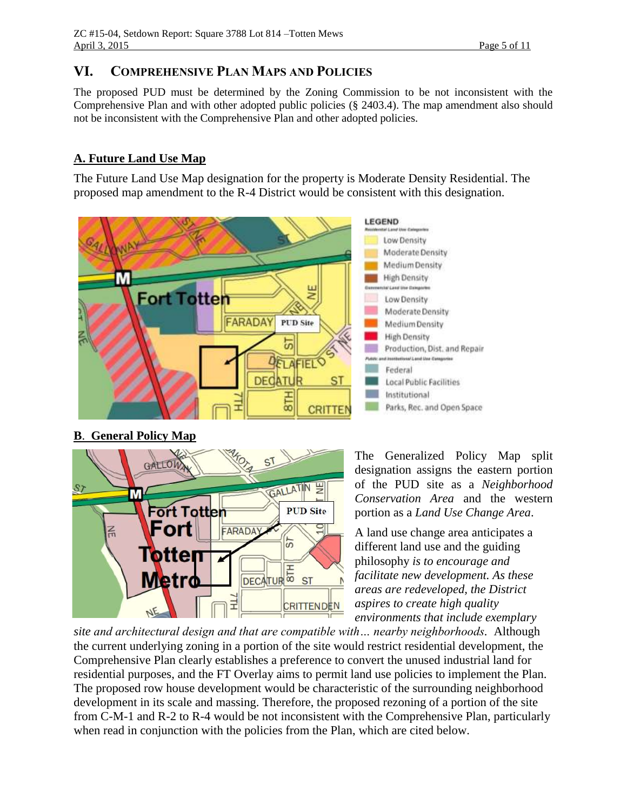# **VI. COMPREHENSIVE PLAN MAPS AND POLICIES**

The proposed PUD must be determined by the Zoning Commission to be not inconsistent with the Comprehensive Plan and with other adopted public policies (§ 2403.4). The map amendment also should not be inconsistent with the Comprehensive Plan and other adopted policies.

# **A. Future Land Use Map**

The Future Land Use Map designation for the property is Moderate Density Residential. The proposed map amendment to the R-4 District would be consistent with this designation.



### **B**. **General Policy Map**



The Generalized Policy Map split designation assigns the eastern portion of the PUD site as a *Neighborhood Conservation Area* and the western portion as a *Land Use Change Area*.

A land use change area anticipates a different land use and the guiding philosophy *is to encourage and facilitate new development. As these areas are redeveloped, the District aspires to create high quality environments that include exemplary* 

*site and architectural design and that are compatible with… nearby neighborhoods.* Although the current underlying zoning in a portion of the site would restrict residential development, the Comprehensive Plan clearly establishes a preference to convert the unused industrial land for residential purposes, and the FT Overlay aims to permit land use policies to implement the Plan. The proposed row house development would be characteristic of the surrounding neighborhood development in its scale and massing. Therefore, the proposed rezoning of a portion of the site from C-M-1 and R-2 to R-4 would be not inconsistent with the Comprehensive Plan, particularly when read in conjunction with the policies from the Plan, which are cited below.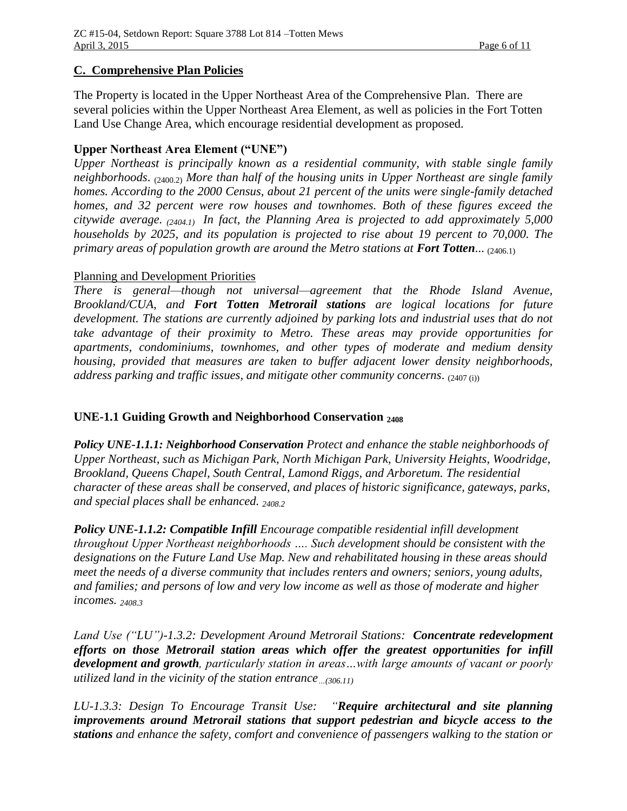### **C. Comprehensive Plan Policies**

The Property is located in the Upper Northeast Area of the Comprehensive Plan. There are several policies within the Upper Northeast Area Element, as well as policies in the Fort Totten Land Use Change Area, which encourage residential development as proposed.

### **Upper Northeast Area Element ("UNE")**

*Upper Northeast is principally known as a residential community, with stable single family neighborhoods*. (2400.2) *More than half of the housing units in Upper Northeast are single family homes. According to the 2000 Census, about 21 percent of the units were single-family detached homes, and 32 percent were row houses and townhomes. Both of these figures exceed the citywide average. (2404.1) In fact, the Planning Area is projected to add approximately 5,000 households by 2025, and its population is projected to rise about 19 percent to 70,000. The primary areas of population growth are around the Metro stations at Fort Totten... (2406.1)* 

### Planning and Development Priorities

*There is general—though not universal—agreement that the Rhode Island Avenue, Brookland/CUA, and Fort Totten Metrorail stations are logical locations for future development. The stations are currently adjoined by parking lots and industrial uses that do not take advantage of their proximity to Metro. These areas may provide opportunities for apartments, condominiums, townhomes, and other types of moderate and medium density housing, provided that measures are taken to buffer adjacent lower density neighborhoods, address parking and traffic issues, and mitigate other community concerns*. (2407 (i))

### **UNE-1.1 Guiding Growth and Neighborhood Conservation <sup>2408</sup>**

*Policy UNE-1.1.1: Neighborhood Conservation Protect and enhance the stable neighborhoods of Upper Northeast, such as Michigan Park, North Michigan Park, University Heights, Woodridge, Brookland, Queens Chapel, South Central, Lamond Riggs, and Arboretum. The residential character of these areas shall be conserved, and places of historic significance, gateways, parks, and special places shall be enhanced. 2408.2* 

*Policy UNE-1.1.2: Compatible Infill Encourage compatible residential infill development throughout Upper Northeast neighborhoods …. Such development should be consistent with the designations on the Future Land Use Map. New and rehabilitated housing in these areas should meet the needs of a diverse community that includes renters and owners; seniors, young adults, and families; and persons of low and very low income as well as those of moderate and higher incomes. 2408.3*

*Land Use ("LU")-1.3.2: Development Around Metrorail Stations: Concentrate redevelopment efforts on those Metrorail station areas which offer the greatest opportunities for infill development and growth, particularly station in areas…with large amounts of vacant or poorly utilized land in the vicinity of the station entrance…(306.11)*

*LU-1.3.3: Design To Encourage Transit Use: "Require architectural and site planning improvements around Metrorail stations that support pedestrian and bicycle access to the stations and enhance the safety, comfort and convenience of passengers walking to the station or*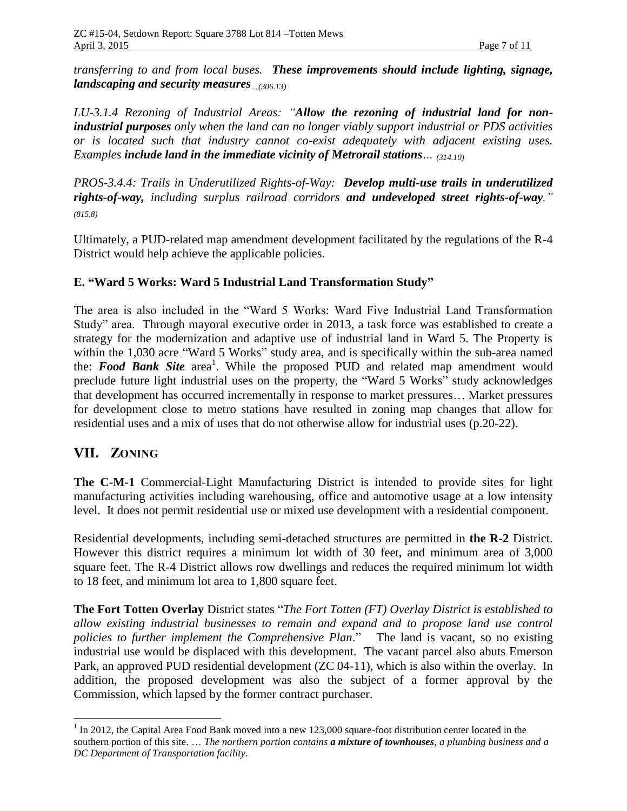*transferring to and from local buses. These improvements should include lighting, signage, landscaping and security measures…(306.13)*

*LU-3.1.4 Rezoning of Industrial Areas: "Allow the rezoning of industrial land for nonindustrial purposes only when the land can no longer viably support industrial or PDS activities or is located such that industry cannot co-exist adequately with adjacent existing uses. Examples include land in the immediate vicinity of Metrorail stations… (314.10)*

*PROS-3.4.4: Trails in Underutilized Rights-of-Way: Develop multi-use trails in underutilized rights-of-way, including surplus railroad corridors and undeveloped street rights-of-way." (815.8)*

Ultimately, a PUD-related map amendment development facilitated by the regulations of the R-4 District would help achieve the applicable policies.

### **E. "Ward 5 Works: Ward 5 Industrial Land Transformation Study"**

The area is also included in the "Ward 5 Works: Ward Five Industrial Land Transformation Study" area. Through mayoral executive order in 2013, a task force was established to create a strategy for the modernization and adaptive use of industrial land in Ward 5. The Property is within the 1,030 acre "Ward 5 Works" study area, and is specifically within the sub-area named the: *Food Bank Site* area 1 . While the proposed PUD and related map amendment would preclude future light industrial uses on the property, the "Ward 5 Works" study acknowledges that development has occurred incrementally in response to market pressures… Market pressures for development close to metro stations have resulted in zoning map changes that allow for residential uses and a mix of uses that do not otherwise allow for industrial uses (p.20-22).

# **VII. ZONING**

 $\overline{a}$ 

**The C-M-1** Commercial-Light Manufacturing District is intended to provide sites for light manufacturing activities including warehousing, office and automotive usage at a low intensity level. It does not permit residential use or mixed use development with a residential component.

Residential developments, including semi-detached structures are permitted in **the R-2** District. However this district requires a minimum lot width of 30 feet, and minimum area of 3,000 square feet. The R-4 District allows row dwellings and reduces the required minimum lot width to 18 feet, and minimum lot area to 1,800 square feet.

**The Fort Totten Overlay** District states "*The Fort Totten (FT) Overlay District is established to allow existing industrial businesses to remain and expand and to propose land use control policies to further implement the Comprehensive Plan*." The land is vacant, so no existing industrial use would be displaced with this development. The vacant parcel also abuts Emerson Park, an approved PUD residential development (ZC 04-11), which is also within the overlay. In addition, the proposed development was also the subject of a former approval by the Commission, which lapsed by the former contract purchaser.

<sup>&</sup>lt;sup>1</sup> In 2012, the Capital Area Food Bank moved into a new 123,000 square-foot distribution center located in the southern portion of this site. … *The northern portion contains a mixture of townhouses, a plumbing business and a DC Department of Transportation facility*.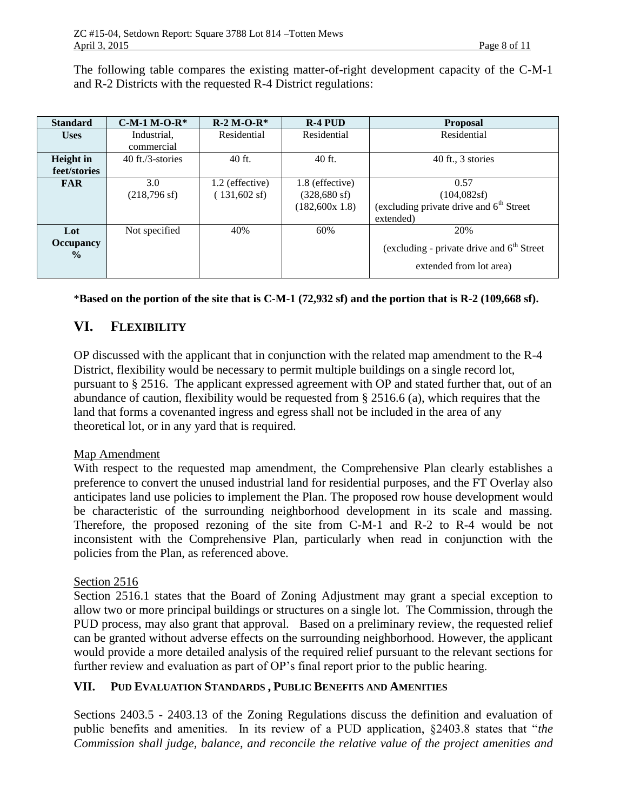The following table compares the existing matter-of-right development capacity of the C-M-1 and R-2 Districts with the requested R-4 District regulations:

| <b>Standard</b>                          | $C-M-1 M-O-R*$                | $R-2 M-O-R*$                              | $R-4$ PUD                                                  | <b>Proposal</b>                                                                |
|------------------------------------------|-------------------------------|-------------------------------------------|------------------------------------------------------------|--------------------------------------------------------------------------------|
| <b>Uses</b>                              | Industrial,<br>commercial     | Residential                               | Residential                                                | Residential                                                                    |
| Height in<br>feet/stories                | $40$ ft./3-stories            | $40$ ft.                                  | 40 ft.                                                     | 40 ft., 3 stories                                                              |
| <b>FAR</b>                               | 3.0<br>$(218,796 \text{ sf})$ | 1.2 (effective)<br>$(131,602 \text{ sf})$ | 1.8 (effective)<br>$(328,680 \text{ sf})$<br>(182,600x1.8) | 0.57<br>(104, 082sf)<br>(excluding private drive and $6th$ Street<br>extended) |
| Lot<br><b>Occupancy</b><br>$\frac{0}{0}$ | Not specified                 | 40%                                       | 60%                                                        | 20%<br>(excluding - private drive and $6th$ Street<br>extended from lot area)  |

#### \***Based on the portion of the site that is C-M-1 (72,932 sf) and the portion that is R-2 (109,668 sf).**

# **VI. FLEXIBILITY**

OP discussed with the applicant that in conjunction with the related map amendment to the R-4 District, flexibility would be necessary to permit multiple buildings on a single record lot, pursuant to § 2516. The applicant expressed agreement with OP and stated further that, out of an abundance of caution, flexibility would be requested from § 2516.6 (a), which requires that the land that forms a covenanted ingress and egress shall not be included in the area of any theoretical lot, or in any yard that is required.

#### Map Amendment

With respect to the requested map amendment, the Comprehensive Plan clearly establishes a preference to convert the unused industrial land for residential purposes, and the FT Overlay also anticipates land use policies to implement the Plan. The proposed row house development would be characteristic of the surrounding neighborhood development in its scale and massing. Therefore, the proposed rezoning of the site from C-M-1 and R-2 to R-4 would be not inconsistent with the Comprehensive Plan, particularly when read in conjunction with the policies from the Plan, as referenced above.

#### Section 2516

Section 2516.1 states that the Board of Zoning Adjustment may grant a special exception to allow two or more principal buildings or structures on a single lot. The Commission, through the PUD process, may also grant that approval. Based on a preliminary review, the requested relief can be granted without adverse effects on the surrounding neighborhood. However, the applicant would provide a more detailed analysis of the required relief pursuant to the relevant sections for further review and evaluation as part of OP's final report prior to the public hearing.

### **VII. PUD EVALUATION STANDARDS , PUBLIC BENEFITS AND AMENITIES**

Sections 2403.5 - 2403.13 of the Zoning Regulations discuss the definition and evaluation of public benefits and amenities. In its review of a PUD application, §2403.8 states that "*the Commission shall judge, balance, and reconcile the relative value of the project amenities and*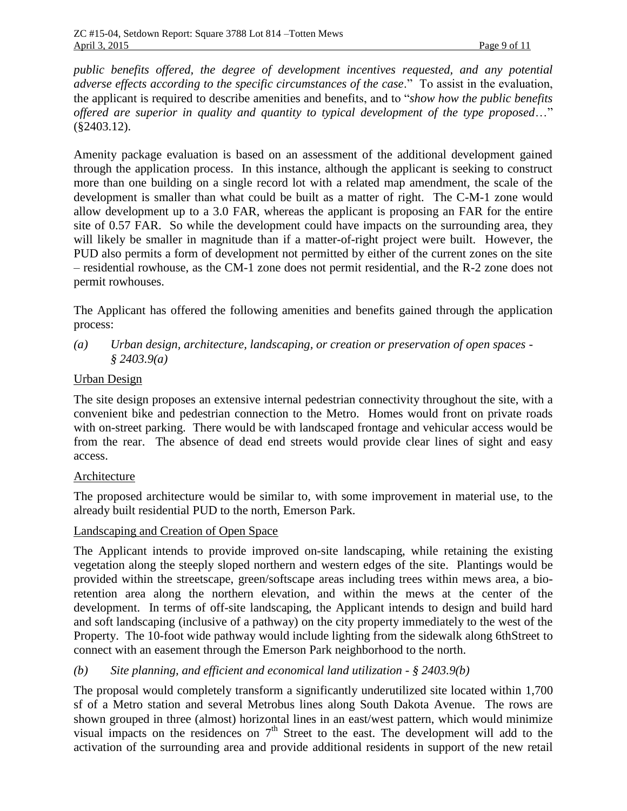*public benefits offered, the degree of development incentives requested, and any potential adverse effects according to the specific circumstances of the case*." To assist in the evaluation, the applicant is required to describe amenities and benefits, and to "*show how the public benefits offered are superior in quality and quantity to typical development of the type proposed*…" (§2403.12).

Amenity package evaluation is based on an assessment of the additional development gained through the application process. In this instance, although the applicant is seeking to construct more than one building on a single record lot with a related map amendment, the scale of the development is smaller than what could be built as a matter of right. The C-M-1 zone would allow development up to a 3.0 FAR, whereas the applicant is proposing an FAR for the entire site of 0.57 FAR. So while the development could have impacts on the surrounding area, they will likely be smaller in magnitude than if a matter-of-right project were built. However, the PUD also permits a form of development not permitted by either of the current zones on the site – residential rowhouse, as the CM-1 zone does not permit residential, and the R-2 zone does not permit rowhouses.

The Applicant has offered the following amenities and benefits gained through the application process:

*(a) Urban design, architecture, landscaping, or creation or preservation of open spaces - § 2403.9(a)*

### Urban Design

The site design proposes an extensive internal pedestrian connectivity throughout the site, with a convenient bike and pedestrian connection to the Metro. Homes would front on private roads with on-street parking. There would be with landscaped frontage and vehicular access would be from the rear. The absence of dead end streets would provide clear lines of sight and easy access.

### Architecture

The proposed architecture would be similar to, with some improvement in material use, to the already built residential PUD to the north, Emerson Park.

#### Landscaping and Creation of Open Space

The Applicant intends to provide improved on-site landscaping, while retaining the existing vegetation along the steeply sloped northern and western edges of the site. Plantings would be provided within the streetscape, green/softscape areas including trees within mews area, a bioretention area along the northern elevation, and within the mews at the center of the development. In terms of off-site landscaping, the Applicant intends to design and build hard and soft landscaping (inclusive of a pathway) on the city property immediately to the west of the Property. The 10-foot wide pathway would include lighting from the sidewalk along 6thStreet to connect with an easement through the Emerson Park neighborhood to the north.

*(b) Site planning, and efficient and economical land utilization - § 2403.9(b)*

The proposal would completely transform a significantly underutilized site located within 1,700 sf of a Metro station and several Metrobus lines along South Dakota Avenue. The rows are shown grouped in three (almost) horizontal lines in an east/west pattern, which would minimize visual impacts on the residences on  $7<sup>th</sup>$  Street to the east. The development will add to the activation of the surrounding area and provide additional residents in support of the new retail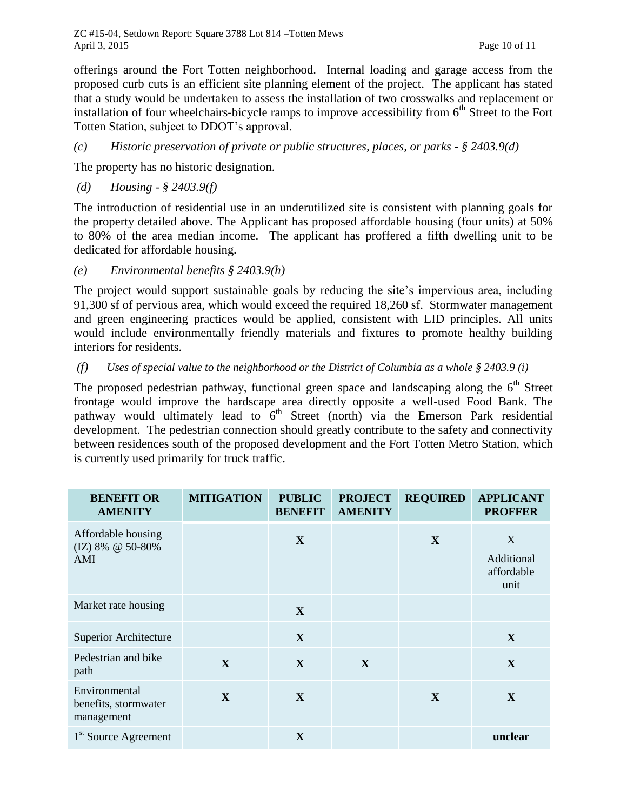offerings around the Fort Totten neighborhood. Internal loading and garage access from the proposed curb cuts is an efficient site planning element of the project. The applicant has stated that a study would be undertaken to assess the installation of two crosswalks and replacement or installation of four wheelchairs-bicycle ramps to improve accessibility from  $6<sup>th</sup>$  Street to the Fort Totten Station, subject to DDOT's approval.

*(c) Historic preservation of private or public structures, places, or parks - § 2403.9(d)*

The property has no historic designation.

*(d) Housing - § 2403.9(f)*

The introduction of residential use in an underutilized site is consistent with planning goals for the property detailed above. The Applicant has proposed affordable housing (four units) at 50% to 80% of the area median income. The applicant has proffered a fifth dwelling unit to be dedicated for affordable housing.

*(e) Environmental benefits § 2403.9(h)*

The project would support sustainable goals by reducing the site's impervious area, including 91,300 sf of pervious area, which would exceed the required 18,260 sf. Stormwater management and green engineering practices would be applied, consistent with LID principles. All units would include environmentally friendly materials and fixtures to promote healthy building interiors for residents.

*(f) Uses of special value to the neighborhood or the District of Columbia as a whole § 2403.9 (i)*

The proposed pedestrian pathway, functional green space and landscaping along the  $6<sup>th</sup>$  Street frontage would improve the hardscape area directly opposite a well-used Food Bank. The pathway would ultimately lead to 6<sup>th</sup> Street (north) via the Emerson Park residential development. The pedestrian connection should greatly contribute to the safety and connectivity between residences south of the proposed development and the Fort Totten Metro Station, which is currently used primarily for truck traffic.

| <b>BENEFIT OR</b><br><b>AMENITY</b>                 | <b>MITIGATION</b> | <b>PUBLIC</b><br><b>BENEFIT</b> | <b>PROJECT</b><br><b>AMENITY</b> | <b>REQUIRED</b> | <b>APPLICANT</b><br><b>PROFFER</b>    |
|-----------------------------------------------------|-------------------|---------------------------------|----------------------------------|-----------------|---------------------------------------|
| Affordable housing<br>(IZ) 8% @ 50-80%<br>AMI       |                   | X                               |                                  | $\mathbf{X}$    | X<br>Additional<br>affordable<br>unit |
| Market rate housing                                 |                   | $\mathbf{X}$                    |                                  |                 |                                       |
| <b>Superior Architecture</b>                        |                   | $\mathbf{X}$                    |                                  |                 | X                                     |
| Pedestrian and bike<br>path                         | X                 | $\mathbf{X}$                    | $\mathbf{X}$                     |                 | X                                     |
| Environmental<br>benefits, stormwater<br>management | X                 | $\mathbf{X}$                    |                                  | X               | X                                     |
| 1 <sup>st</sup> Source Agreement                    |                   | X                               |                                  |                 | unclear                               |